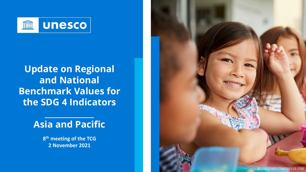

# **Update on Regional and National Benchmark Values for the SDG 4 Indicators**

# **Asia and Pacific**

**\_\_\_\_\_\_\_\_\_\_\_\_\_**

**8th meeting of the TCG 2 November 2021**

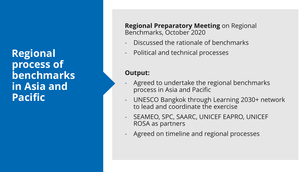**Regional process of benchmarks in Asia and Pacific**

**Regional Preparatory Meeting** on Regional Benchmarks, October 2020

- Discussed the rationale of benchmarks
- Political and technical processes

#### **Output:**

- Agreed to undertake the regional benchmarks process in Asia and Pacific
- UNESCO Bangkok through Learning 2030+ network to lead and coordinate the exercise
- SEAMEO, SPC, SAARC, UNICEF EAPRO, UNICEF ROSA as partners
- Agreed on timeline and regional processes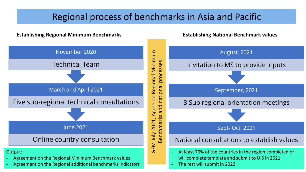## Regional process of benchmarks in Asia and Pacific

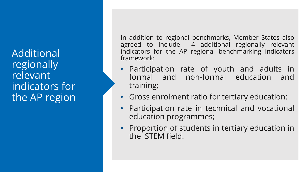Additional regionally relevant indicators for the AP region

In addition to regional benchmarks, Member States also agreed to include 4 additional regionally relevant indicators for the AP regional benchmarking indicators framework:

- Participation rate of youth and adults in formal and non-formal education and training;
- Gross enrolment ratio for tertiary education;
- Participation rate in technical and vocational education programmes;
- Proportion of students in tertiary education in the STEM field.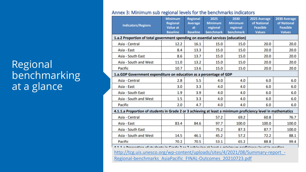# Regional benchmarking at a glance

|                                                                                 | <b>Minimum</b>                                                                                               | Regional              | 2025                         | 2030                  | 2025 Average                     | 2030 Average                     |
|---------------------------------------------------------------------------------|--------------------------------------------------------------------------------------------------------------|-----------------------|------------------------------|-----------------------|----------------------------------|----------------------------------|
| <b>Indicators/Regions</b>                                                       | <b>Regional</b>                                                                                              | <b>Average</b>        | <b>Minimum</b>               | <b>Minimum</b>        | of National                      | of National                      |
|                                                                                 | <b>Value at</b><br><b>Baseline</b>                                                                           | at<br><b>Baseline</b> | regional<br><b>benchmark</b> | regional<br>benchmark | <b>Feasible</b><br><b>Values</b> | <b>Feasible</b><br><b>Values</b> |
| 1.a.2 Proportion of total government spending on essential services (education) |                                                                                                              |                       |                              |                       |                                  |                                  |
| Asia - Central                                                                  | 12.2                                                                                                         | 16.1                  | 15.0                         | 15.0                  | 20.0                             | 20.0                             |
| Asia - East                                                                     | 8.4                                                                                                          | 13.3                  | 15.0                         | 15.0                  | 20.0                             | 20.0                             |
| Asia - South East                                                               | 8.6                                                                                                          | 13.7                  | 15.0                         | 15.0                  | 20.0                             | 20.0                             |
| Asia - South and West                                                           | 11.0                                                                                                         | 13.2                  | 15.0                         | 15.0                  | 20.0                             | 20.0                             |
| <b>Pacific</b>                                                                  | 10.7                                                                                                         | 13.6                  | 15.0                         | 15.0                  | 20.0                             | 20.0                             |
|                                                                                 | 1.a.GDP Government expenditure on education as a percentage of GDP                                           |                       |                              |                       |                                  |                                  |
| Asia - Central                                                                  | 2.8                                                                                                          | 5.5                   | 4.0                          | 4.0                   | 6.0                              | 6.0                              |
| Asia - East                                                                     | 3.0                                                                                                          | 3.3                   | 4.0                          | 4.0                   | 6.0                              | 6.0                              |
| Asia - South East                                                               | 1.9                                                                                                          | 3.9                   | 4.0                          | 4.0                   | 6.0                              | 6.0                              |
| Asia - South and West                                                           | 1.5                                                                                                          | 3.3                   | 4.0                          | 4.0                   | 6.0                              | 6.0                              |
| <b>Pacific</b>                                                                  | 2.0                                                                                                          | 4.7                   | 4.0                          | 4.0                   | 6.0                              | 6.0                              |
|                                                                                 | 4.1.1.a Proportion of students in Grade 2 or 3 achieving at least a minimum proficiency level in mathematics |                       |                              |                       |                                  |                                  |
| Asia - Central                                                                  |                                                                                                              |                       | 57.2                         | 69.2                  | 60.8                             | 76.7                             |
| Asia - East                                                                     | 83.4                                                                                                         | 84.6                  | 97.7                         | 100.0                 | 100.0                            | 100.0                            |
| Asia - South East                                                               |                                                                                                              |                       | 75.2                         | 87.3                  | 87.7                             | 100.0                            |
| Asia - South and West                                                           | 14.5                                                                                                         | 46.1                  | 45.2                         | 57.2                  | 72.2                             | 88.1                             |
| <b>Pacific</b>                                                                  | 70.2                                                                                                         | 70.5                  | 53.1                         | 65.2                  | 88.8                             | 99.4                             |

Regional-benchmarks AsiaPacific FINAL-Outcomes 20210723.pdf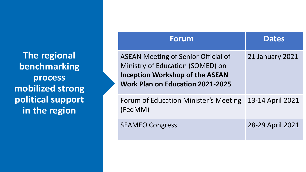**The regional benchmarking process mobilized strong political support in the region**

| <b>Forum</b>                                                                                                                                                               | <b>Dates</b>           |
|----------------------------------------------------------------------------------------------------------------------------------------------------------------------------|------------------------|
| <b>ASEAN Meeting of Senior Official of</b><br><b>Ministry of Education (SOMED) on</b><br><b>Inception Workshop of the ASEAN</b><br><b>Work Plan on Education 2021-2025</b> | <b>21 January 2021</b> |
| Forum of Education Minister's Meeting<br>(FedMM)                                                                                                                           | 13-14 April 2021       |
| <b>SEAMEO Congress</b>                                                                                                                                                     | 28-29 April 2021       |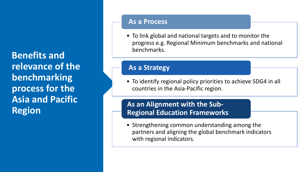**Benefits and relevance of the benchmarking process for the Asia and Pacific Region**

#### **As a Process**

• To link global and national targets and to monitor the progress e.g. Regional Minimum benchmarks and national benchmarks.

#### **As a Strategy**

• To identify regional policy priorities to achieve SDG4 in all countries in the Asia-Pacific region.

### **As an Alignment with the Sub-Regional Education Frameworks**

• Strengthening common understanding among the partners and aligning the global benchmark indicators with regional indicators.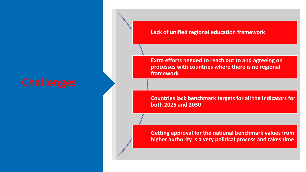**Lack of unified regional education framework**

**Extra efforts needed to reach out to and agreeing on processes with countries where there is no regional framework**

**Countries lack benchmark targets for all the indicators for both 2025 and 2030**

**Getting approval for the national benchmark values from higher authority is a very political process and takes time**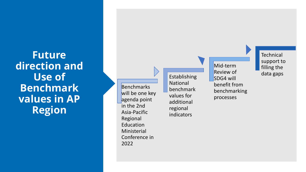**Future direction and Use of Benchmark values in AP Region**

**Benchmarks** will be one key agenda point in the 2nd Asia -Pacific Regional Education Ministerial Conference in 2022

Establishing National benchmark values for additional regional indicators

Mid -term Review of SDG4 will benefit from benchmarking processes

**Technical** support to filling the data gaps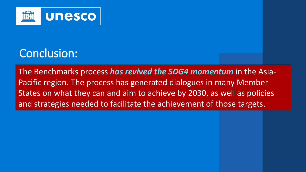

# Conclusion:

The Benchmarks process *has revived the SDG4 momentum* in the Asia-Pacific region. The process has generated dialogues in many Member States on what they can and aim to achieve by 2030, as well as policies and strategies needed to facilitate the achievement of those targets.